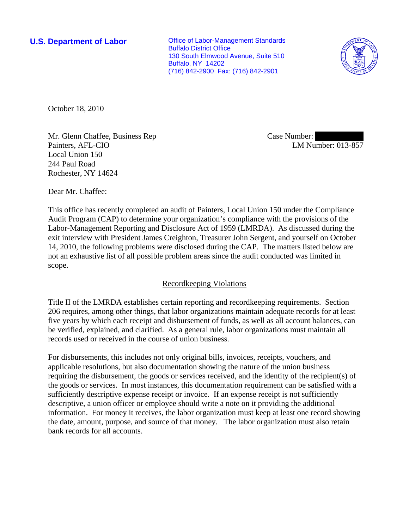**U.S. Department of Labor Conservative Conservative Conservative Conservative Conservative Conservative Conservative Conservative Conservative Conservative Conservative Conservative Conservative Conservative Conservative** Buffalo District Office 130 South Elmwood Avenue, Suite 510 Buffalo, NY 14202 (716) 842-2900 Fax: (716) 842-2901



October 18, 2010

Mr. Glenn Chaffee, Business Rep Painters, AFL-CIO Local Union 150 244 Paul Road Rochester, NY 14624

Case Number: LM Number: 013-857

Dear Mr. Chaffee:

This office has recently completed an audit of Painters, Local Union 150 under the Compliance Audit Program (CAP) to determine your organization's compliance with the provisions of the Labor-Management Reporting and Disclosure Act of 1959 (LMRDA). As discussed during the exit interview with President James Creighton, Treasurer John Sergent, and yourself on October 14, 2010, the following problems were disclosed during the CAP. The matters listed below are not an exhaustive list of all possible problem areas since the audit conducted was limited in scope.

# Recordkeeping Violations

Title II of the LMRDA establishes certain reporting and recordkeeping requirements. Section 206 requires, among other things, that labor organizations maintain adequate records for at least five years by which each receipt and disbursement of funds, as well as all account balances, can be verified, explained, and clarified. As a general rule, labor organizations must maintain all records used or received in the course of union business.

For disbursements, this includes not only original bills, invoices, receipts, vouchers, and applicable resolutions, but also documentation showing the nature of the union business requiring the disbursement, the goods or services received, and the identity of the recipient(s) of the goods or services. In most instances, this documentation requirement can be satisfied with a sufficiently descriptive expense receipt or invoice. If an expense receipt is not sufficiently descriptive, a union officer or employee should write a note on it providing the additional information. For money it receives, the labor organization must keep at least one record showing the date, amount, purpose, and source of that money. The labor organization must also retain bank records for all accounts.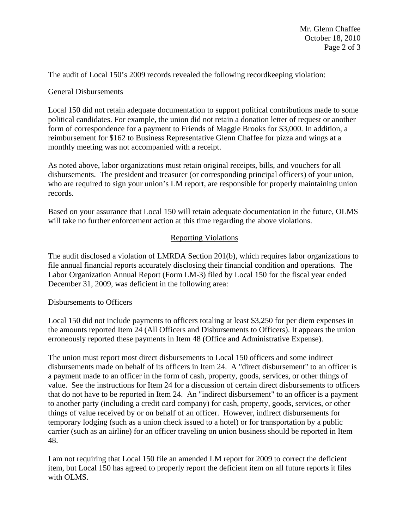The audit of Local 150's 2009 records revealed the following recordkeeping violation:

## General Disbursements

Local 150 did not retain adequate documentation to support political contributions made to some political candidates. For example, the union did not retain a donation letter of request or another form of correspondence for a payment to Friends of Maggie Brooks for \$3,000. In addition, a reimbursement for \$162 to Business Representative Glenn Chaffee for pizza and wings at a monthly meeting was not accompanied with a receipt.

As noted above, labor organizations must retain original receipts, bills, and vouchers for all disbursements. The president and treasurer (or corresponding principal officers) of your union, who are required to sign your union's LM report, are responsible for properly maintaining union records.

Based on your assurance that Local 150 will retain adequate documentation in the future, OLMS will take no further enforcement action at this time regarding the above violations.

### Reporting Violations

The audit disclosed a violation of LMRDA Section 201(b), which requires labor organizations to file annual financial reports accurately disclosing their financial condition and operations. The Labor Organization Annual Report (Form LM-3) filed by Local 150 for the fiscal year ended December 31, 2009, was deficient in the following area:

#### Disbursements to Officers

Local 150 did not include payments to officers totaling at least \$3,250 for per diem expenses in the amounts reported Item 24 (All Officers and Disbursements to Officers). It appears the union erroneously reported these payments in Item 48 (Office and Administrative Expense).

The union must report most direct disbursements to Local 150 officers and some indirect disbursements made on behalf of its officers in Item 24. A "direct disbursement" to an officer is a payment made to an officer in the form of cash, property, goods, services, or other things of value. See the instructions for Item 24 for a discussion of certain direct disbursements to officers that do not have to be reported in Item 24. An "indirect disbursement" to an officer is a payment to another party (including a credit card company) for cash, property, goods, services, or other things of value received by or on behalf of an officer. However, indirect disbursements for temporary lodging (such as a union check issued to a hotel) or for transportation by a public carrier (such as an airline) for an officer traveling on union business should be reported in Item 48.

I am not requiring that Local 150 file an amended LM report for 2009 to correct the deficient item, but Local 150 has agreed to properly report the deficient item on all future reports it files with OLMS.